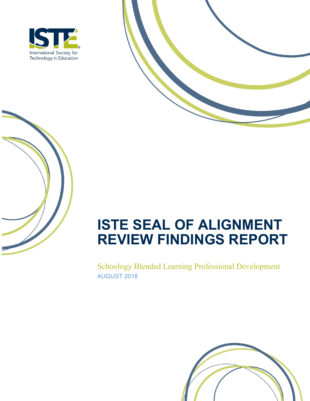



# **ISTE SEAL OF ALIGNMENT REVIEW FINDINGS REPORT**

Schoology Blended Learning Professional Development AUGUST 2018

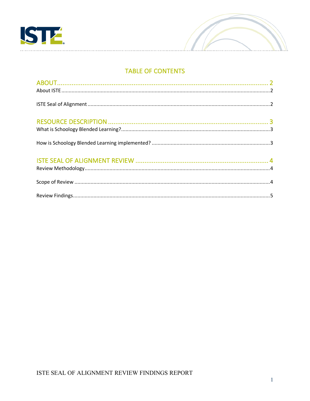



## **TABLE OF CONTENTS**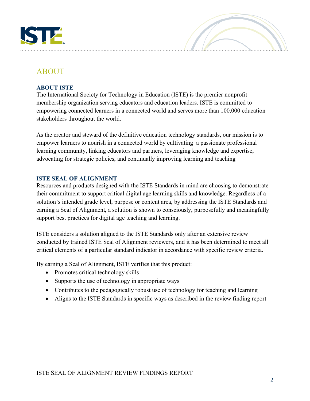

# ABOUT

#### **ABOUT ISTE**

The International Society for Technology in Education (ISTE) is the premier nonprofit membership organization serving educators and education leaders. ISTE is committed to empowering connected learners in a connected world and serves more than 100,000 education stakeholders throughout the world.

As the creator and steward of the definitive education technology standards, our mission is to empower learners to nourish in a connected world by cultivating a passionate professional learning community, linking educators and partners, leveraging knowledge and expertise, advocating for strategic policies, and continually improving learning and teaching

#### **ISTE SEAL OF ALIGNMENT**

Resources and products designed with the ISTE Standards in mind are choosing to demonstrate their commitment to support critical digital age learning skills and knowledge. Regardless of a solution's intended grade level, purpose or content area, by addressing the ISTE Standards and earning a Seal of Alignment, a solution is shown to consciously, purposefully and meaningfully support best practices for digital age teaching and learning.

ISTE considers a solution aligned to the ISTE Standards only after an extensive review conducted by trained ISTE Seal of Alignment reviewers, and it has been determined to meet all critical elements of a particular standard indicator in accordance with specific review criteria.

By earning a Seal of Alignment, ISTE verifies that this product:

- Promotes critical technology skills
- Supports the use of technology in appropriate ways
- Contributes to the pedagogically robust use of technology for teaching and learning
- Aligns to the ISTE Standards in specific ways as described in the review finding report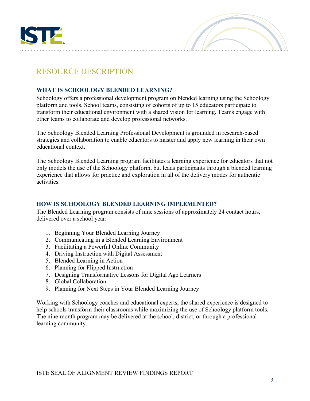



# RESOURCE DESCRIPTION

### **WHAT IS SCHOOLOGY BLENDED LEARNING?**

Schoology offers a professional development program on blended learning using the Schoology platform and tools. School teams, consisting of cohorts of up to 15 educators participate to transform their educational environment with a shared vision for learning. Teams engage with other teams to collaborate and develop professional networks.

The Schoology Blended Learning Professional Development is grounded in research-based strategies and collaboration to enable educators to master and apply new learning in their own educational context.

The Schoology Blended Learning program facilitates a learning experience for educators that not only models the use of the Schoology platform, but leads participants through a blended learning experience that allows for practice and exploration in all of the delivery modes for authentic activities.

#### **HOW IS SCHOOLOGY BLENDED LEARNING IMPLEMENTED?**

The Blended Learning program consists of nine sessions of approximately 24 contact hours, delivered over a school year:

- 1. Beginning Your Blended Learning Journey
- 2. Communicating in a Blended Learning Environment
- 3. Facilitating a Powerful Online Community
- 4. Driving Instruction with Digital Assessment
- 5. Blended Learning in Action
- 6. Planning for Flipped Instruction
- 7. Designing Transformative Lessons for Digital Age Learners
- 8. Global Collaboration
- 9. Planning for Next Steps in Your Blended Learning Journey

Working with Schoology coaches and educational experts, the shared experience is designed to help schools transform their classrooms while maximizing the use of Schoology platform tools. The nine-month program may be delivered at the school, district, or through a professional learning community.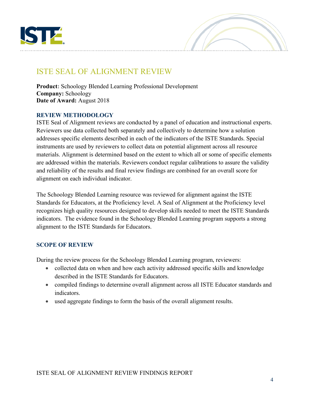

# ISTE SEAL OF ALIGNMENT REVIEW

**Product:** Schoology Blended Learning Professional Development **Company:** Schoology **Date of Award:** August 2018

#### **REVIEW METHODOLOGY**

ISTE Seal of Alignment reviews are conducted by a panel of education and instructional experts. Reviewers use data collected both separately and collectively to determine how a solution addresses specific elements described in each of the indicators of the ISTE Standards. Special instruments are used by reviewers to collect data on potential alignment across all resource materials. Alignment is determined based on the extent to which all or some of specific elements are addressed within the materials. Reviewers conduct regular calibrations to assure the validity and reliability of the results and final review findings are combined for an overall score for alignment on each individual indicator.

The Schoology Blended Learning resource was reviewed for alignment against the ISTE Standards for Educators, at the Proficiency level. A Seal of Alignment at the Proficiency level recognizes high quality resources designed to develop skills needed to meet the ISTE Standards indicators. The evidence found in the Schoology Blended Learning program supports a strong alignment to the ISTE Standards for Educators.

#### **SCOPE OF REVIEW**

During the review process for the Schoology Blended Learning program, reviewers:

- collected data on when and how each activity addressed specific skills and knowledge described in the ISTE Standards for Educators.
- compiled findings to determine overall alignment across all ISTE Educator standards and indicators.
- used aggregate findings to form the basis of the overall alignment results.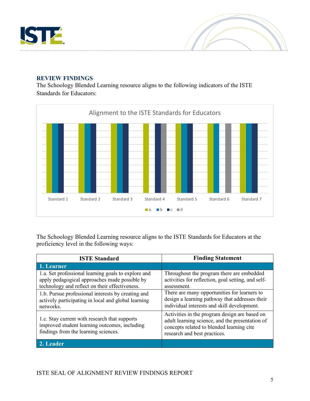

#### **REVIEW FINDINGS**

The Schoology Blended Learning resource aligns to the following indicators of the ISTE Standards for Educators:



The Schoology Blended Learning resource aligns to the ISTE Standards for Educators at the proficiency level in the following ways:

| <b>ISTE Standard</b>                                                                                                                                   | <b>Finding Statement</b>                                                                                                                                                      |
|--------------------------------------------------------------------------------------------------------------------------------------------------------|-------------------------------------------------------------------------------------------------------------------------------------------------------------------------------|
| 1. Learner                                                                                                                                             |                                                                                                                                                                               |
| 1.a. Set professional learning goals to explore and<br>apply pedagogical approaches made possible by<br>technology and reflect on their effectiveness. | Throughout the program there are embedded<br>activities for reflection, goal setting, and self-<br>assessment.                                                                |
| 1.b. Pursue professional interests by creating and<br>actively participating in local and global learning<br>networks.                                 | There are many opportunities for learners to<br>design a learning pathway that addresses their<br>individual interests and skill development.                                 |
| 1.c. Stay current with research that supports<br>improved student learning outcomes, including<br>findings from the learning sciences.                 | Activities in the program design are based on<br>adult learning science, and the presentation of<br>concepts related to blended learning cite<br>research and best practices. |
| 2. Leader                                                                                                                                              |                                                                                                                                                                               |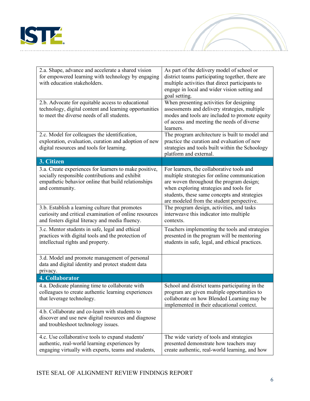

| 2.a. Shape, advance and accelerate a shared vision<br>for empowered learning with technology by engaging<br>with education stakeholders.                                          | As part of the delivery model of school or<br>district teams participating together, there are<br>multiple activities that direct participants to<br>engage in local and wider vision setting and<br>goal setting.                                                            |
|-----------------------------------------------------------------------------------------------------------------------------------------------------------------------------------|-------------------------------------------------------------------------------------------------------------------------------------------------------------------------------------------------------------------------------------------------------------------------------|
| 2.b. Advocate for equitable access to educational<br>technology, digital content and learning opportunities<br>to meet the diverse needs of all students.                         | When presenting activities for designing<br>assessments and delivery strategies, multiple<br>modes and tools are included to promote equity<br>of access and meeting the needs of diverse<br>learners.                                                                        |
| 2.c. Model for colleagues the identification,<br>exploration, evaluation, curation and adoption of new<br>digital resources and tools for learning.                               | The program architecture is built to model and<br>practice the curation and evaluation of new<br>strategies and tools built within the Schoology<br>platform and external.                                                                                                    |
| 3. Citizen                                                                                                                                                                        |                                                                                                                                                                                                                                                                               |
| 3.a. Create experiences for learners to make positive,<br>socially responsible contributions and exhibit<br>empathetic behavior online that build relationships<br>and community. | For learners, the collaborative tools and<br>multiple strategies for online communication<br>are woven throughout the program design;<br>when exploring strategies and tools for<br>students, these same concepts and strategies<br>are modeled from the student perspective. |
| 3.b. Establish a learning culture that promotes<br>curiosity and critical examination of online resources<br>and fosters digital literacy and media fluency.                      | The program design, activities, and tasks<br>interweave this indicator into multiple<br>contexts.                                                                                                                                                                             |
| 3.c. Mentor students in safe, legal and ethical<br>practices with digital tools and the protection of<br>intellectual rights and property.                                        | Teachers implementing the tools and strategies<br>presented in the program will be mentoring<br>students in safe, legal, and ethical practices.                                                                                                                               |
| 3.d. Model and promote management of personal<br>data and digital identity and protect student data<br>privacy.                                                                   |                                                                                                                                                                                                                                                                               |
| 4. Collaborator                                                                                                                                                                   |                                                                                                                                                                                                                                                                               |
| 4.a. Dedicate planning time to collaborate with<br>colleagues to create authentic learning experiences<br>that leverage technology.                                               | School and district teams participating in the<br>program are given multiple opportunities to<br>collaborate on how Blended Learning may be<br>implemented in their educational context.                                                                                      |
| 4.b. Collaborate and co-learn with students to<br>discover and use new digital resources and diagnose<br>and troubleshoot technology issues.                                      |                                                                                                                                                                                                                                                                               |
| 4.c. Use collaborative tools to expand students'<br>authentic, real-world learning experiences by<br>engaging virtually with experts, teams and students,                         | The wide variety of tools and strategies<br>presented demonstrate how teachers may<br>create authentic, real-world learning, and how                                                                                                                                          |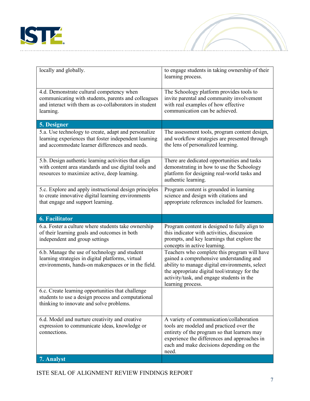

| locally and globally.                                                                                                                                                  | to engage students in taking ownership of their<br>learning process.                                                                                                                                                                                          |
|------------------------------------------------------------------------------------------------------------------------------------------------------------------------|---------------------------------------------------------------------------------------------------------------------------------------------------------------------------------------------------------------------------------------------------------------|
| 4.d. Demonstrate cultural competency when<br>communicating with students, parents and colleagues<br>and interact with them as co-collaborators in student<br>learning. | The Schoology platform provides tools to<br>invite parental and community involvement<br>with real examples of how effective<br>communication can be achieved.                                                                                                |
| 5. Designer                                                                                                                                                            |                                                                                                                                                                                                                                                               |
| 5.a. Use technology to create, adapt and personalize<br>learning experiences that foster independent learning<br>and accommodate learner differences and needs.        | The assessment tools, program content design,<br>and workflow strategies are presented through<br>the lens of personalized learning.                                                                                                                          |
| 5.b. Design authentic learning activities that align<br>with content area standards and use digital tools and<br>resources to maximize active, deep learning.          | There are dedicated opportunities and tasks<br>demonstrating in how to use the Schoology<br>platform for designing real-world tasks and<br>authentic learning.                                                                                                |
| 5.c. Explore and apply instructional design principles<br>to create innovative digital learning environments<br>that engage and support learning.                      | Program content is grounded in learning<br>science and design with citations and<br>appropriate references included for learners.                                                                                                                             |
|                                                                                                                                                                        |                                                                                                                                                                                                                                                               |
| <b>6. Facilitator</b>                                                                                                                                                  |                                                                                                                                                                                                                                                               |
| 6.a. Foster a culture where students take ownership<br>of their learning goals and outcomes in both<br>independent and group settings                                  | Program content is designed to fully align to<br>this indicator with activities, discussion<br>prompts, and key learnings that explore the<br>concepts in active learning.                                                                                    |
| 6.b. Manage the use of technology and student<br>learning strategies in digital platforms, virtual<br>environments, hands-on makerspaces or in the field.              | Teachers who complete this program will have<br>gained a comprehensive understanding and<br>ability to manage digital environments, select<br>the appropriate digital tool/strategy for the<br>activity/task, and engage students in the<br>learning process. |
| 6.c. Create learning opportunities that challenge<br>students to use a design process and computational<br>thinking to innovate and solve problems.                    |                                                                                                                                                                                                                                                               |
| 6.d. Model and nurture creativity and creative<br>expression to communicate ideas, knowledge or<br>connections.                                                        | A variety of communication/collaboration<br>tools are modeled and practiced over the<br>entirety of the program so that learners may<br>experience the differences and approaches in<br>each and make decisions depending on the<br>need.                     |